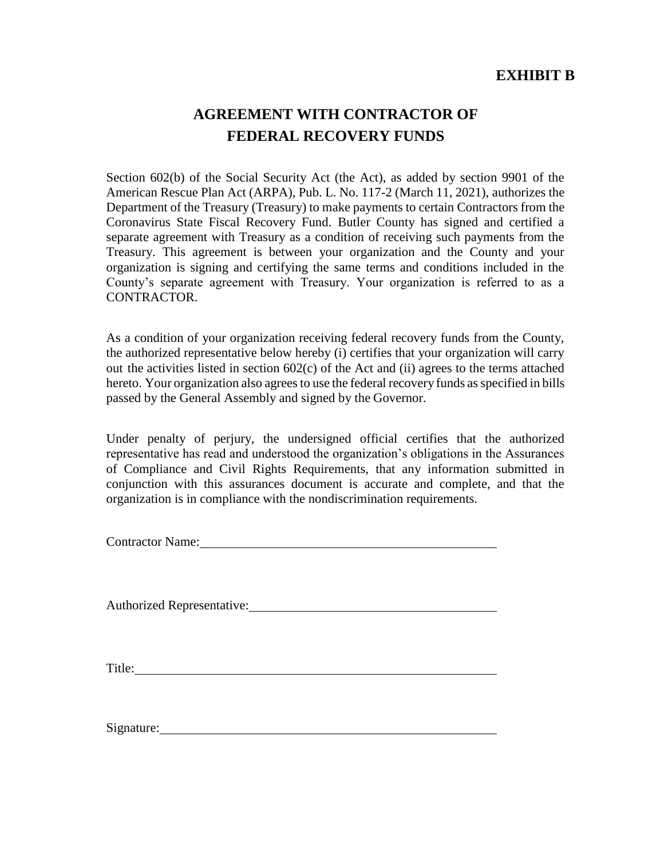## **EXHIBIT B**

# **AGREEMENT WITH CONTRACTOR OF FEDERAL RECOVERY FUNDS**

Section 602(b) of the Social Security Act (the Act), as added by section 9901 of the American Rescue Plan Act (ARPA), Pub. L. No. 117-2 (March 11, 2021), authorizes the Department of the Treasury (Treasury) to make payments to certain Contractors from the Coronavirus State Fiscal Recovery Fund. Butler County has signed and certified a separate agreement with Treasury as a condition of receiving such payments from the Treasury. This agreement is between your organization and the County and your organization is signing and certifying the same terms and conditions included in the County's separate agreement with Treasury. Your organization is referred to as a CONTRACTOR.

As a condition of your organization receiving federal recovery funds from the County, the authorized representative below hereby (i) certifies that your organization will carry out the activities listed in section 602(c) of the Act and (ii) agrees to the terms attached hereto. Your organization also agrees to use the federal recovery funds as specified in bills passed by the General Assembly and signed by the Governor.

Under penalty of perjury, the undersigned official certifies that the authorized representative has read and understood the organization's obligations in the Assurances of Compliance and Civil Rights Requirements, that any information submitted in conjunction with this assurances document is accurate and complete, and that the organization is in compliance with the nondiscrimination requirements.

Contractor Name:

Authorized Representative: Manual Authorized Representative:

Title: The contract of the contract of the contract of the contract of the contract of the contract of the contract of the contract of the contract of the contract of the contract of the contract of the contract of the con

Signature: Signature: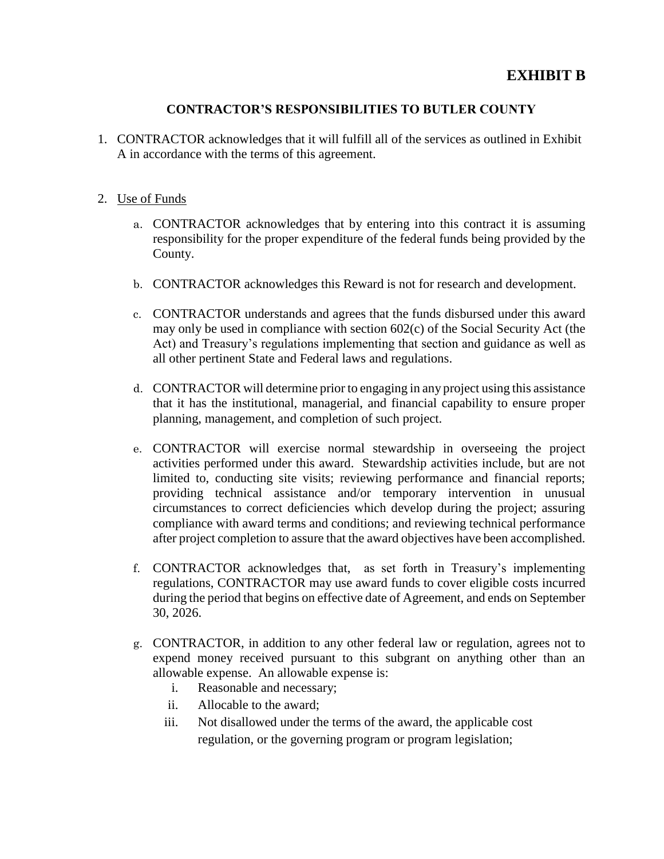### **EXHIBIT B**

#### **CONTRACTOR'S RESPONSIBILITIES TO BUTLER COUNTY**

1. CONTRACTOR acknowledges that it will fulfill all of the services as outlined in Exhibit A in accordance with the terms of this agreement.

#### 2. Use of Funds

- a. CONTRACTOR acknowledges that by entering into this contract it is assuming responsibility for the proper expenditure of the federal funds being provided by the County.
- b. CONTRACTOR acknowledges this Reward is not for research and development.
- c. CONTRACTOR understands and agrees that the funds disbursed under this award may only be used in compliance with section 602(c) of the Social Security Act (the Act) and Treasury's regulations implementing that section and guidance as well as all other pertinent State and Federal laws and regulations.
- d. CONTRACTOR will determine prior to engaging in any project using this assistance that it has the institutional, managerial, and financial capability to ensure proper planning, management, and completion of such project.
- e. CONTRACTOR will exercise normal stewardship in overseeing the project activities performed under this award. Stewardship activities include, but are not limited to, conducting site visits; reviewing performance and financial reports; providing technical assistance and/or temporary intervention in unusual circumstances to correct deficiencies which develop during the project; assuring compliance with award terms and conditions; and reviewing technical performance after project completion to assure that the award objectives have been accomplished.
- f. CONTRACTOR acknowledges that, as set forth in Treasury's implementing regulations, CONTRACTOR may use award funds to cover eligible costs incurred during the period that begins on effective date of Agreement, and ends on September 30, 2026.
- g. CONTRACTOR, in addition to any other federal law or regulation, agrees not to expend money received pursuant to this subgrant on anything other than an allowable expense. An allowable expense is:
	- i. Reasonable and necessary;
	- ii. Allocable to the award;
	- iii. Not disallowed under the terms of the award, the applicable cost regulation, or the governing program or program legislation;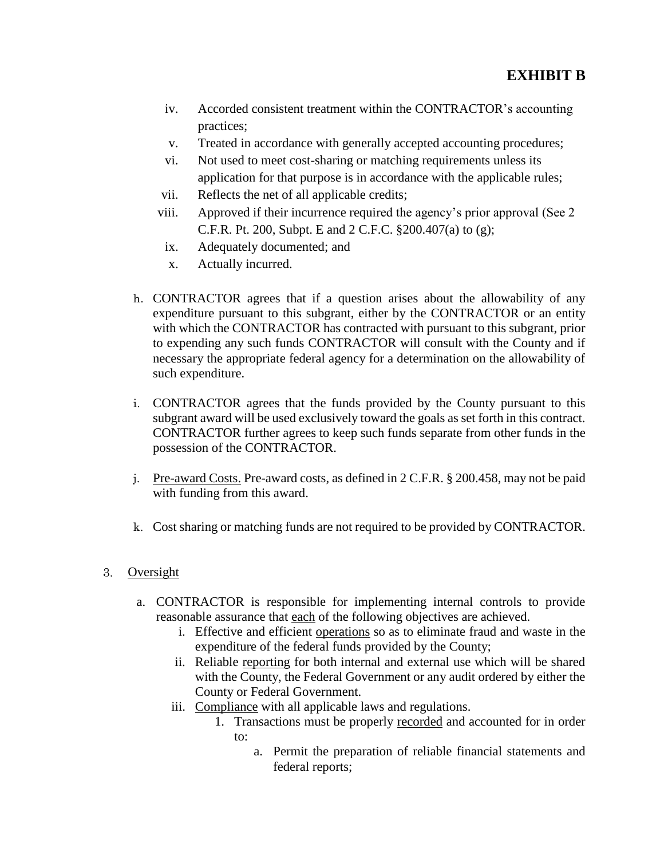- iv. Accorded consistent treatment within the CONTRACTOR's accounting practices;
- v. Treated in accordance with generally accepted accounting procedures;
- vi. Not used to meet cost-sharing or matching requirements unless its application for that purpose is in accordance with the applicable rules;
- vii. Reflects the net of all applicable credits;
- viii. Approved if their incurrence required the agency's prior approval (See 2 C.F.R. Pt. 200, Subpt. E and 2 C.F.C. §200.407(a) to (g);
- ix. Adequately documented; and
- x. Actually incurred.
- h. CONTRACTOR agrees that if a question arises about the allowability of any expenditure pursuant to this subgrant, either by the CONTRACTOR or an entity with which the CONTRACTOR has contracted with pursuant to this subgrant, prior to expending any such funds CONTRACTOR will consult with the County and if necessary the appropriate federal agency for a determination on the allowability of such expenditure.
- i. CONTRACTOR agrees that the funds provided by the County pursuant to this subgrant award will be used exclusively toward the goals as set forth in this contract. CONTRACTOR further agrees to keep such funds separate from other funds in the possession of the CONTRACTOR.
- j. Pre-award Costs. Pre-award costs, as defined in 2 C.F.R. § 200.458, may not be paid with funding from this award.
- k. Cost sharing or matching funds are not required to be provided by CONTRACTOR.

#### Oversight

- a. CONTRACTOR is responsible for implementing internal controls to provide reasonable assurance that each of the following objectives are achieved.
	- i. Effective and efficient operations so as to eliminate fraud and waste in the expenditure of the federal funds provided by the County;
	- ii. Reliable reporting for both internal and external use which will be shared with the County, the Federal Government or any audit ordered by either the County or Federal Government.
	- iii. Compliance with all applicable laws and regulations.
		- 1. Transactions must be properly recorded and accounted for in order to:
			- a. Permit the preparation of reliable financial statements and federal reports;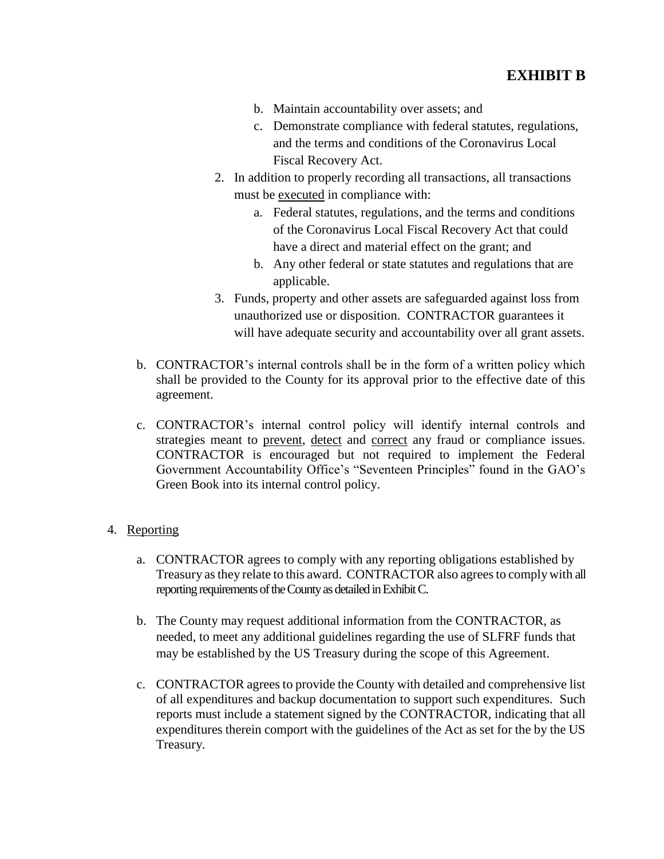- b. Maintain accountability over assets; and
- c. Demonstrate compliance with federal statutes, regulations, and the terms and conditions of the Coronavirus Local Fiscal Recovery Act.
- 2. In addition to properly recording all transactions, all transactions must be executed in compliance with:
	- a. Federal statutes, regulations, and the terms and conditions of the Coronavirus Local Fiscal Recovery Act that could have a direct and material effect on the grant; and
	- b. Any other federal or state statutes and regulations that are applicable.
- 3. Funds, property and other assets are safeguarded against loss from unauthorized use or disposition. CONTRACTOR guarantees it will have adequate security and accountability over all grant assets.
- b. CONTRACTOR's internal controls shall be in the form of a written policy which shall be provided to the County for its approval prior to the effective date of this agreement.
- c. CONTRACTOR's internal control policy will identify internal controls and strategies meant to prevent, detect and correct any fraud or compliance issues. CONTRACTOR is encouraged but not required to implement the Federal Government Accountability Office's "Seventeen Principles" found in the GAO's Green Book into its internal control policy.

#### 4. Reporting

- a. CONTRACTOR agrees to comply with any reporting obligations established by Treasury as they relate to this award. CONTRACTOR also agrees to comply with all reporting requirements of the County as detailed in Exhibit C.
- b. The County may request additional information from the CONTRACTOR, as needed, to meet any additional guidelines regarding the use of SLFRF funds that may be established by the US Treasury during the scope of this Agreement.
- c. CONTRACTOR agrees to provide the County with detailed and comprehensive list of all expenditures and backup documentation to support such expenditures. Such reports must include a statement signed by the CONTRACTOR, indicating that all expenditures therein comport with the guidelines of the Act as set for the by the US Treasury.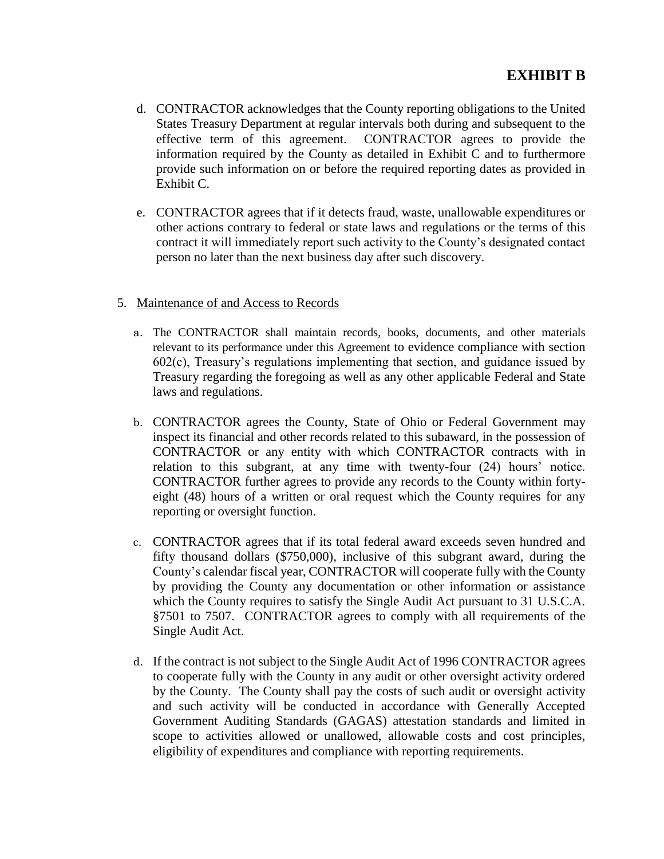- d. CONTRACTOR acknowledges that the County reporting obligations to the United States Treasury Department at regular intervals both during and subsequent to the effective term of this agreement. CONTRACTOR agrees to provide the information required by the County as detailed in Exhibit C and to furthermore provide such information on or before the required reporting dates as provided in Exhibit C.
- e. CONTRACTOR agrees that if it detects fraud, waste, unallowable expenditures or other actions contrary to federal or state laws and regulations or the terms of this contract it will immediately report such activity to the County's designated contact person no later than the next business day after such discovery.
- 5. Maintenance of and Access to Records
	- a. The CONTRACTOR shall maintain records, books, documents, and other materials relevant to its performance under this Agreement to evidence compliance with section 602(c), Treasury's regulations implementing that section, and guidance issued by Treasury regarding the foregoing as well as any other applicable Federal and State laws and regulations.
	- b. CONTRACTOR agrees the County, State of Ohio or Federal Government may inspect its financial and other records related to this subaward, in the possession of CONTRACTOR or any entity with which CONTRACTOR contracts with in relation to this subgrant, at any time with twenty-four (24) hours' notice. CONTRACTOR further agrees to provide any records to the County within fortyeight (48) hours of a written or oral request which the County requires for any reporting or oversight function.
	- c. CONTRACTOR agrees that if its total federal award exceeds seven hundred and fifty thousand dollars (\$750,000), inclusive of this subgrant award, during the County's calendar fiscal year, CONTRACTOR will cooperate fully with the County by providing the County any documentation or other information or assistance which the County requires to satisfy the Single Audit Act pursuant to 31 U.S.C.A. §7501 to 7507. CONTRACTOR agrees to comply with all requirements of the Single Audit Act.
	- d. If the contract is not subject to the Single Audit Act of 1996 CONTRACTOR agrees to cooperate fully with the County in any audit or other oversight activity ordered by the County. The County shall pay the costs of such audit or oversight activity and such activity will be conducted in accordance with Generally Accepted Government Auditing Standards (GAGAS) attestation standards and limited in scope to activities allowed or unallowed, allowable costs and cost principles, eligibility of expenditures and compliance with reporting requirements.